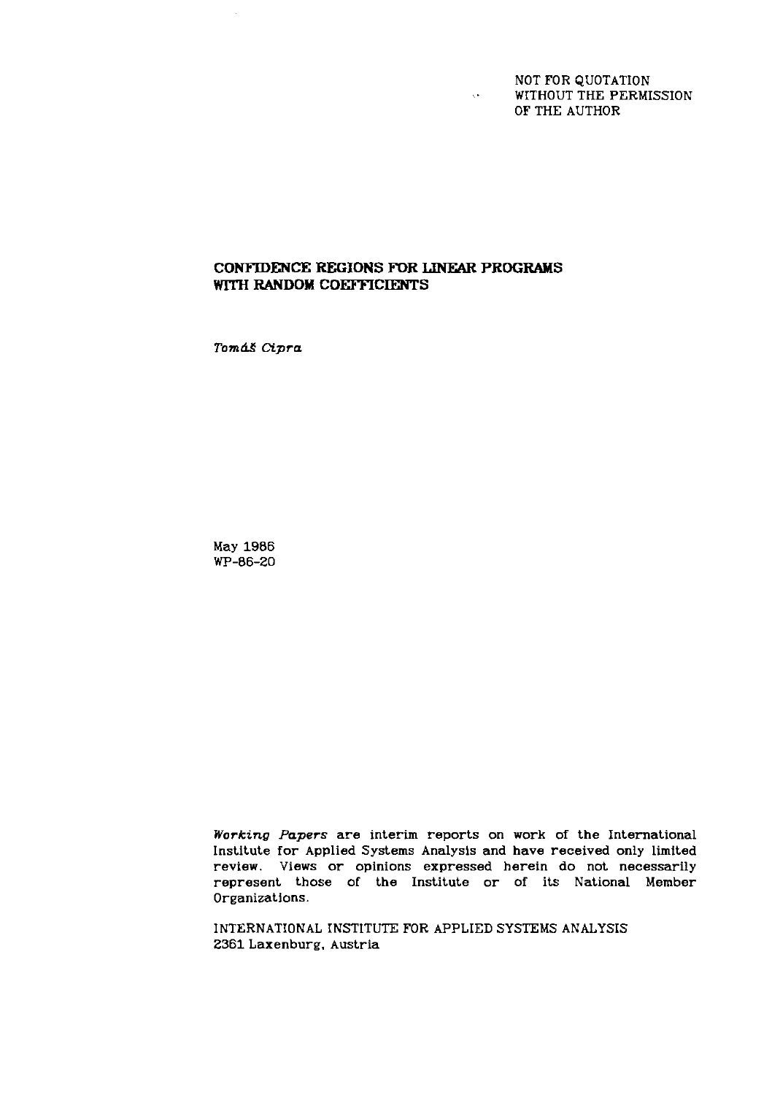NOT FOR QUOTATION WITHOUT THE PERMISSION OF THE AUTHOR

 $\sqrt{s}$ 

# **CONFIDENCE REGIONS FOR** LTNEAR **PROGRAMS WITH RANDOM COEFFICIENTS**

Tomáš Cipra

 $\overline{\phantom{a}}$ 

May 1986 WP-06-20

*Working Papers* are interim reports on work of the International Institute for Applied Systems Analysls and have received only limited review. Views or opinions expressed herein do not necessarily represent those of the Institute or of its National Member Organizations.

INTERNATIONAL INSTITUTE FOR APPLIED SYSTEMS ANALYSIS 2361 Laxenburg. Austria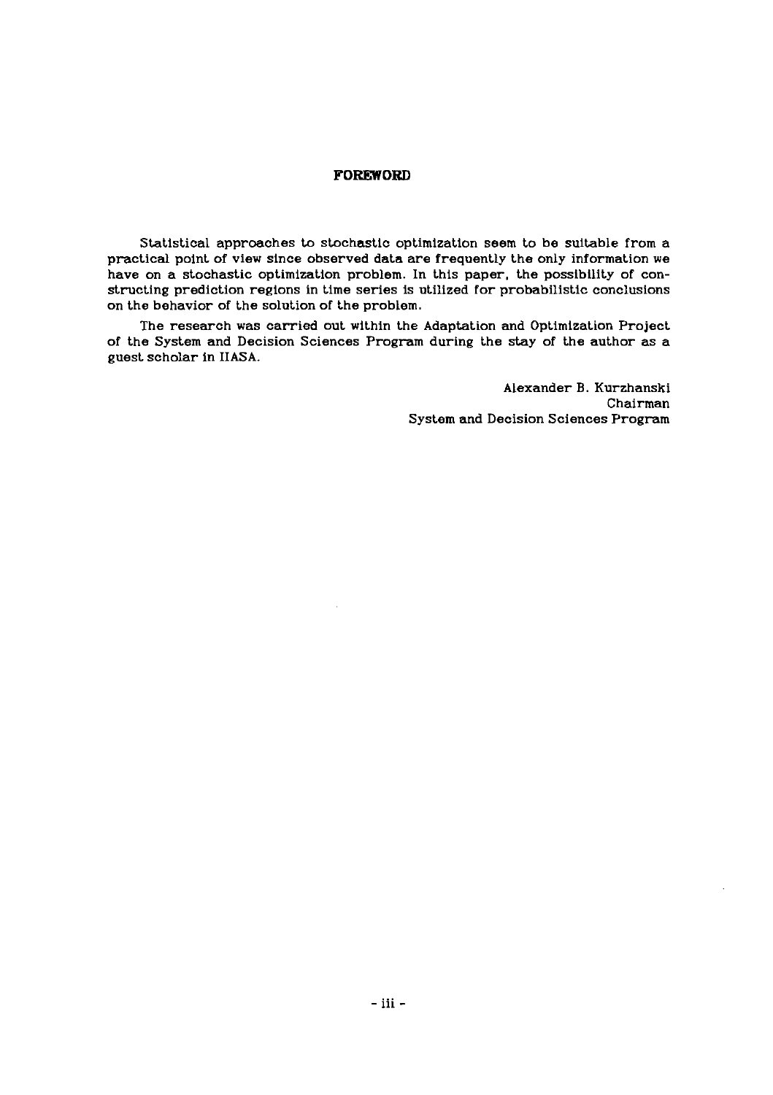## **FOREWORD**

Statistical apprcaches to stochastic optimization seem to be suitable from a practical point of view since observed data are frequently the only information we have on a stochastic optimization problem. In this paper, the posslbllity of constructing prediction regions in time series is utilized for probabilistic conclusions on the behavior of the solution of the problem.

The research was carried out within the Adaptation and Optimization Project of the System and Decision Sciences Program during the stay of the author as a guest scholar in IIASA.

> Alexander B. Kurzhanski Chairman System and Decision Sciences Program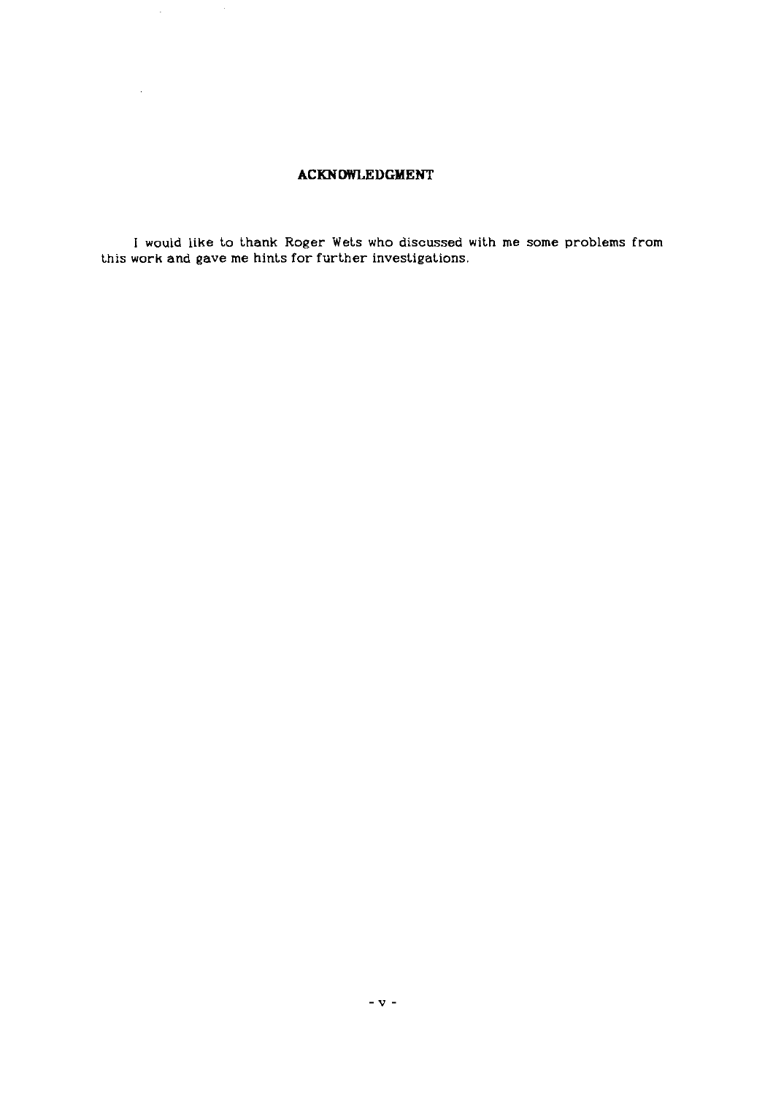# **ACKNOWLEDGMENT**

 $\hat{\mathcal{A}}$ 

 $\sim$ 

**I would like to thank Roger Wets who discussed with me some problems from this work and gave me hints for further investigations.**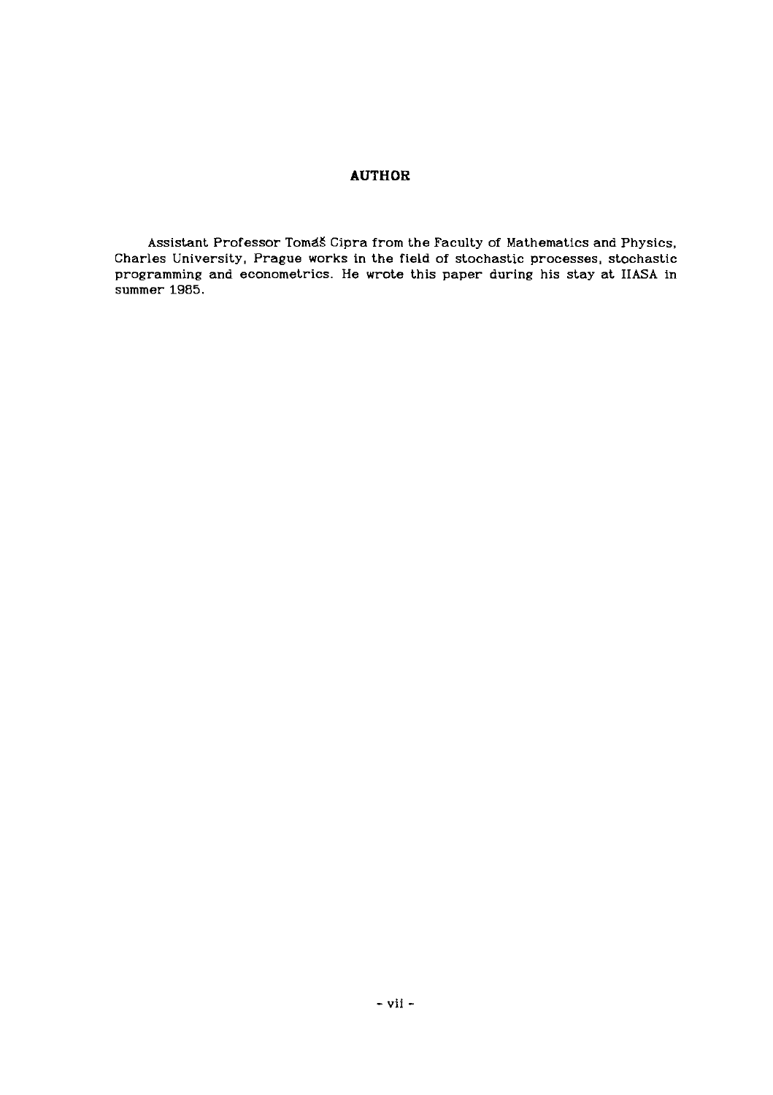# **AUTHOR**

**Assistant Professor TomdS Cipra from the Faculty of Mathematics and Physics. Charles University, Prague works in the field of stochastic processes, stochastic programming and econometrics. He wrote this paper during his stay at IIASA in summer 1985.**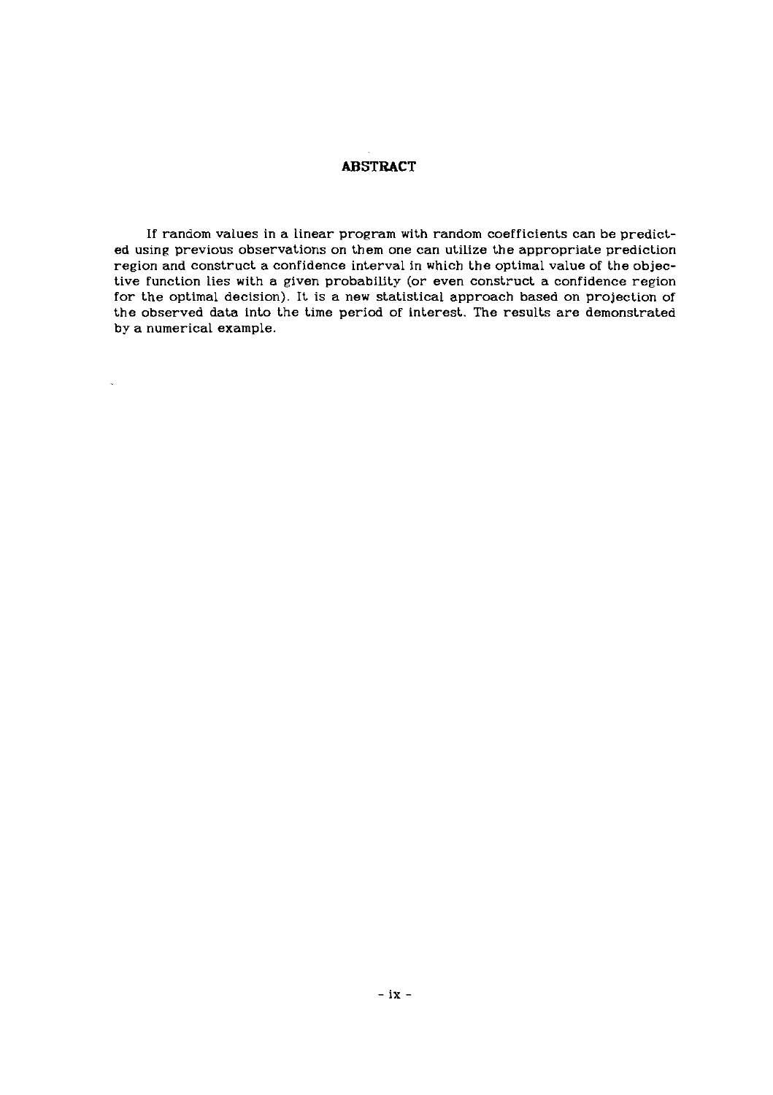## **ABSTRACT**

If random values in a linear program with random coefficients can be predicted using previous observations on them one can utilize the appropriate prediction region and construct a confidence interval in which the optimal value of the objective function lies with a given probability (or even construct a confidence region for the optimal decision). It is a new statistical approach based on projection of the observed data into the time period of interest. The results are demonstrated by a numerical example.

l.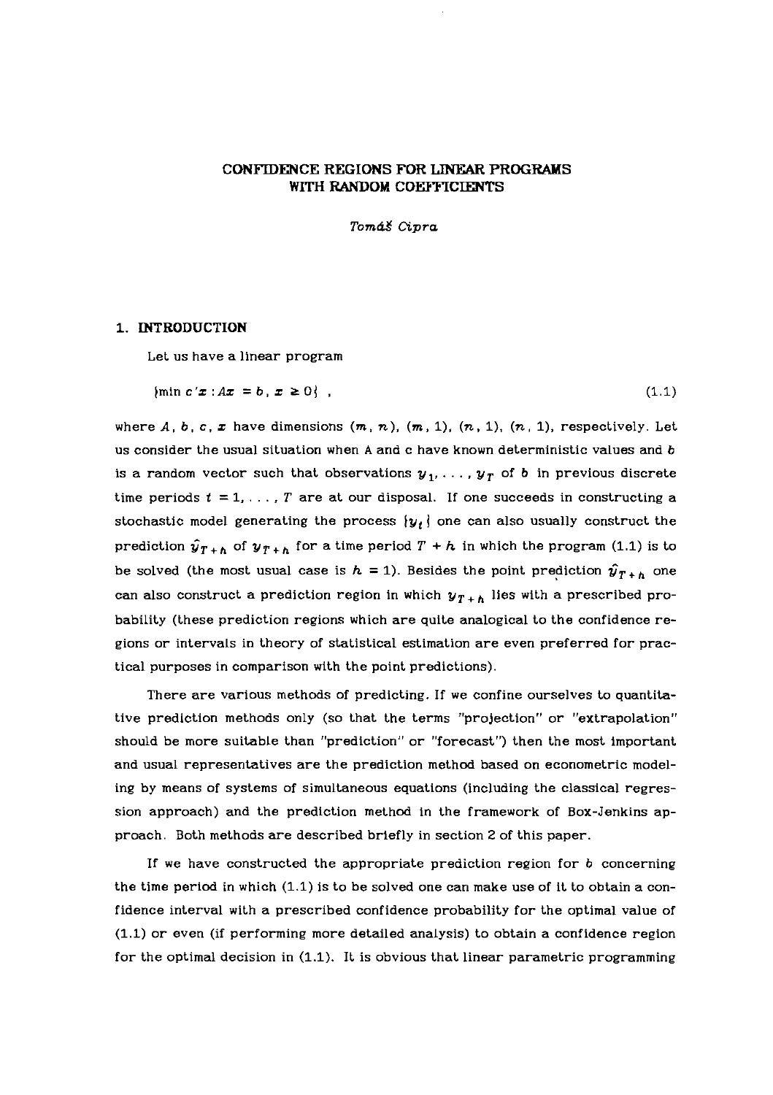## **CONFIDENCE REGIONS FOR LINEAR PROGRAMS WITH RANDOM COEFFICIENTS**

Tomáš Cipra

## **1. INTRODUCTION**

Let us have a linear program

 $\{\min c'x : Ax = b, x \ge 0\}$ ,  $(1.1)$ 

where  $A, b, c, \mathbf{x}$  have dimensions  $(m, n), (m, 1), (n, 1), (n, 1)$ , respectively. Let us consider the usual situation when A and c have known deterministic values and b is a random vector such that observations  $\boldsymbol{y}_1, \ldots, \boldsymbol{y}_T$  of  $\boldsymbol{b}$  in previous discrete time periods  $t = 1, \ldots, T$  are at our disposal. If one succeeds in constructing a stochastic model generating the process  $\{y_t\}$  one can also usually construct the prediction  $\hat{y}_{T+h}$  of  $y_{T+h}$  for a time period  $T + h$  in which the program (1.1) is to be solved (the most usual case is  $h = 1$ ). Besides the point prediction  $\hat{y}_{T+h}$  one can also construct a prediction region in which  $y_{T+h}$  lies with a prescribed probability (these prediction regions which are quite analogical to the confidence regions or intervals in theory of statistical estimation are even preferred for practical purposes in comparison with the point predictions).

There are various methods of predicting. If we confine ourselves to quantitative prediction methods only (so that the terms "projection" or "extrapolation" should be more suitable than "prediction" or "forecast") then the most important and usual representatives are the prediction method based on econometric modeling by means of systems of simultaneous equations (including the classical regression approach) and the prediction method in the framework of Box-Jenkins approach. Both methods are described briefly in section 2 of this paper.

If we have constructed the appropriate prediction region for  $b$  concerning the time period in which (1.1) is to be solved one can make use of it to obtain a confidence interval with a prescribed confidence probability for the optimal value of (1.1) or even (if performing more detailed analysis) to obtain a confidence region for the optimal decision in (1.1). It is obvious that linear parametric programming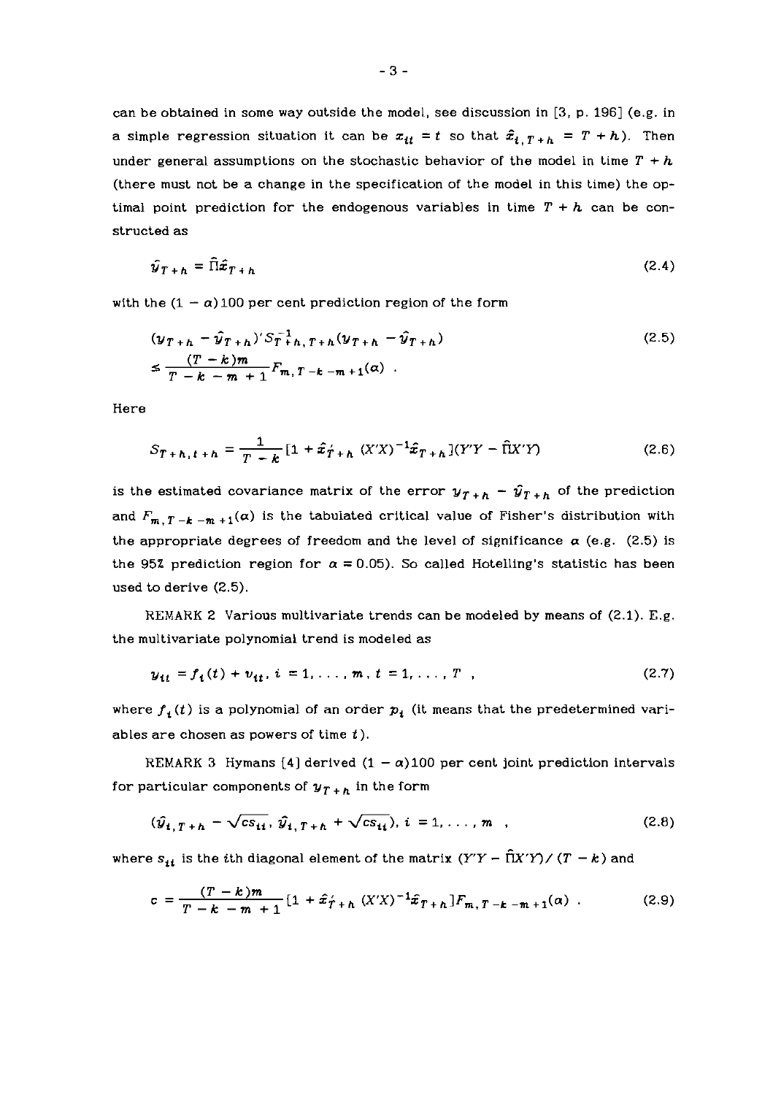can be obtained in some way outside the model, see discussion in **[3,** p. 1961 (e.g. in a simple regression situation it can be  $x_{it} = t$  so that  $\hat{x}_{i, T+h} = T + h$ ). Then under general assumptions on the stochastic behavior of the model in time  $T + h$ (there must not be a change in the specification of the model in this time) the optimal point prediction for the endogenous variables in time  $T + h$  can be constructed as

$$
\hat{y}_{T+h} = \hat{\Pi}\hat{x}_{T+h} \tag{2.4}
$$

with the  $(1 - \alpha)$  100 per cent prediction region of the form

$$
(\mathbf{y}_{T+h} - \hat{\mathbf{y}}_{T+h})' S_T^{-1} h, T+h (\mathbf{y}_{T+h} - \hat{\mathbf{y}}_{T+h})
$$
  
\n
$$
\leq \frac{(T-k)m}{T-k-m+1} F_{m,T-k-m+1}(\alpha) .
$$
\n(2.5)

Here

$$
S_{T+h,t+h} = \frac{1}{T-k} [1 + \hat{x}_{T+h} (X'X)^{-1} \hat{x}_{T+h}](Y'Y - \hat{\Pi}X'Y)
$$
(2.6)

is the estimated covariance matrix of the error  $y_{T+h} - \hat{y}_{T+h}$  of the prediction and  $F_{m,T-k-m+1}(\alpha)$  is the tabulated critical value of Fisher's distribution with the appropriate degrees of freedom and the level of significance  $\alpha$  (e.g. (2.5) is the 95% prediction region for  $\alpha = 0.05$ ). So called Hotelling's statistic has been used to derive (2.5).

REMARK 2 Various multivariate trends can be modeled by means of (2.1). E.g. the multivariate polynomial trend is modeled as

$$
y_{it} = f_i(t) + v_{it}, i = 1, ..., m, t = 1, ..., T
$$
 (2.7)

where  $f_i(t)$  is a polynomial of an order  $p_i$  (it means that the predetermined variables are chosen as powers of time  $t$ ).

REMARK 3 Hymans [4] derived  $(1 - \alpha)100$  per cent joint prediction intervals for particular components of  $y_{T+h}$  in the form

$$
(\hat{y}_{i,T+h} - \sqrt{cs_{ii}}, \hat{y}_{i,T+h} + \sqrt{cs_{ii}}), i = 1, ..., m
$$
 (2.8)

where  $s_{ii}$  is the ith diagonal element of the matrix  $(Y'Y - \hat{\Pi}X'Y) / (T - k)$  and

$$
c = \frac{(T-k)m}{T-k-m+1} \left[1 + \hat{x}_{T+h}^{\prime}(X'X)^{-1}\hat{x}_{T+h}\right]F_{m,T-k-m+1}(\alpha) \tag{2.9}
$$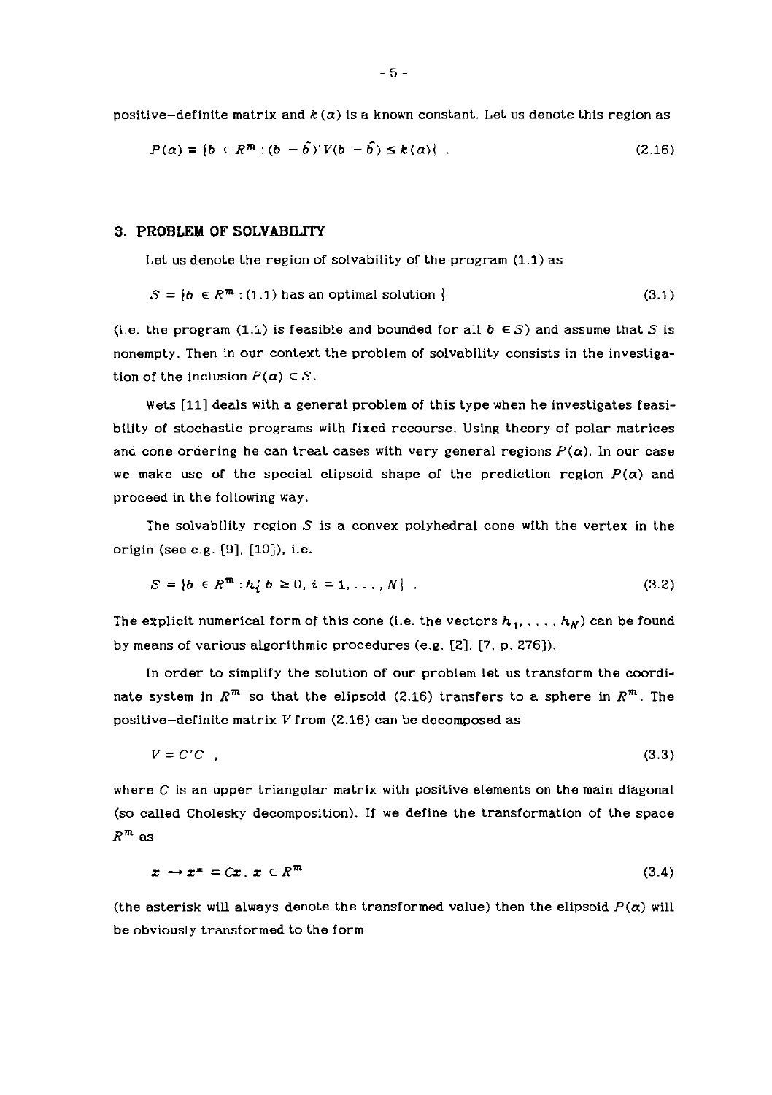positive-definite matrix and  $k(\alpha)$  is a known constant. Let us denote this region as

$$
P(\alpha) = \{b \in R^m : (b - \hat{b})'V(b - \hat{b}) \le k(\alpha)\}.
$$
 (2.16)

### **3. PROBLEM OF SOLVABILITY**

Let us denote the region of solvability of the program (1.1) as

$$
S = \{b \in R^m : (1.1) \text{ has an optimal solution } \}
$$
 (3.1)

(i.e. the program (1.1) is feasible and bounded for all  $b \in S$ ) and assume that S is nonempty. Then in our context the problem of solvability consists in the investigation of the inclusion  $P(\alpha) \subset S$ .

Wets [Ill deals with a general problem of this type when he investigates feasibility of stochastic programs with fixed recourse. Using theory of polar matrices and cone ordering he can treat cases with very general regions  $P(\alpha)$ . In our case we make use of the special elipsoid shape of the prediction region  $P(\alpha)$  and proceed in the following way.

The solvability region  $S$  is a convex polyhedral cone with the vertex in the origin (see e.g. [9]. [lo]), i.e.

$$
S = \{b \in R^m : h'_1 b \ge 0, i = 1, ..., N\} \tag{3.2}
$$

The explicit numerical form of this cone (i.e. the vectors  $h_1, \ldots, h_N$ ) can be found by means of various algorithmic procedures (e.g.  $[2]$ ,  $[7, p. 276]$ ).

In order to simplify the solution of our problem let us transform the coordinate system in  $R^m$  so that the elipsoid (2.16) transfers to a sphere in  $R^m$ . The positive-definite matrix V from (2.16) can be decomposed as

$$
V = C'C \t{3.3}
$$

where **C** is an upper triangular matrix with positive elements on the main diagonal (so called Cholesky decomposition). If we define the transformation of the space  $R^m$  as

$$
x \to x^* = Cx, \ x \in R^m \tag{3.4}
$$

(the asterisk will always denote the transformed value) then the elipsoid  $P(\alpha)$  will be obviously transformed to the form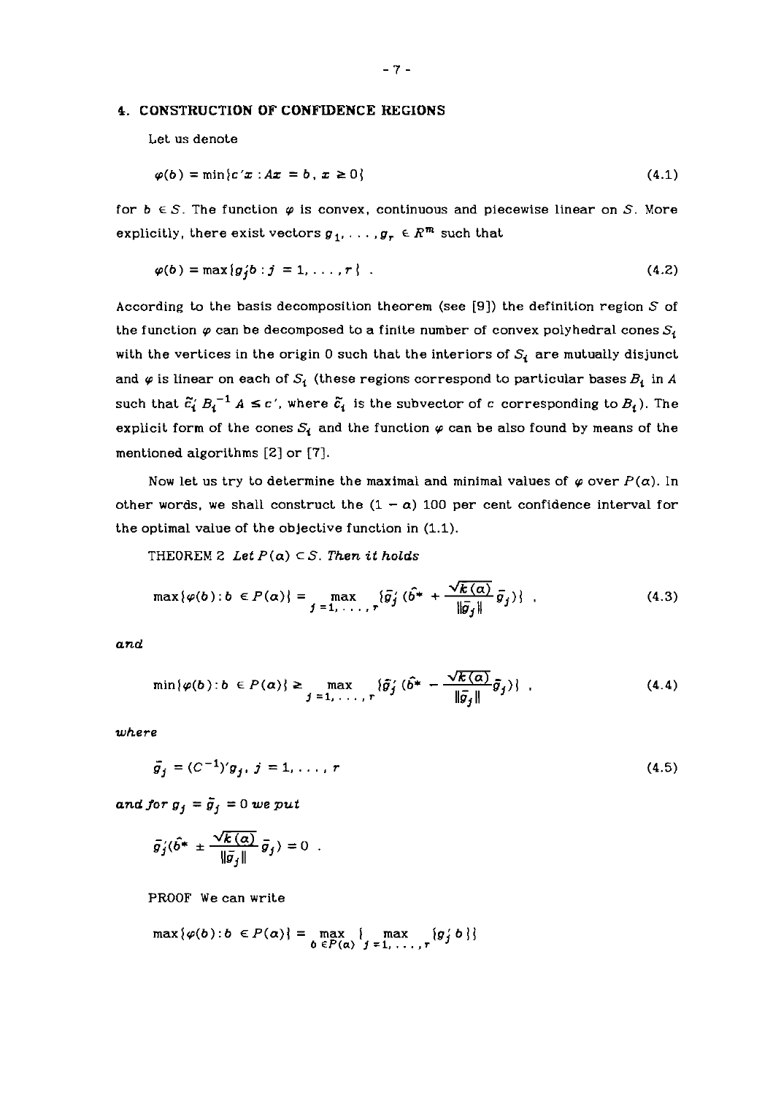#### **4. CONSTRUCTION OF CONFIDENCE REGIONS**

Let us denote

$$
\varphi(b) = \min\{c'x : Ax = b, x \ge 0\}
$$
\n
$$
(4.1)
$$

for  $b \in S$ . The function  $\varphi$  is convex, continuous and piecewise linear on S. More explicitly, there exist vectors  $g_1, \ldots, g_r \in R^m$  such that

$$
\varphi(b) = \max\{g_i'b : j = 1, \ldots, r\} \tag{4.2}
$$

According to the basis decomposition theorem (see [9]) the definition region  $S$  of the function  $\varphi$  can be decomposed to a finite number of convex polyhedral cones  $S_t$ with the vertices in the origin 0 such that the interiors of  $S_i$  are mutually disjunct and  $\varphi$  is linear on each of  $S_i$  (these regions correspond to particular bases  $B_i$  in  $A$ such that  $\tilde{c}'_i B_i^{-1} A \leq c'$ , where  $\tilde{c}_i$  is the subvector of c corresponding to  $B_i$ ). The explicit form of the cones  $S_i$  and the function  $\varphi$  can be also found by means of the mentioned algorithms [2] or [7].

Now let us try to determine the maximal and minimal values of  $\varphi$  over  $P(\alpha)$ . In other words, we shall construct the  $(1 - \alpha)$  100 per cent confidence interval for the optimal value of the objective function in (1.1).

THEOREM 2 Let  $P(\alpha) \subset S$ . Then it holds

$$
\max\{\varphi(b):b\in P(\alpha)\}=\max_{j=1,\ldots,r}\{\bar{g}_j'(\hat{b^*}+\frac{\sqrt{k(\alpha)}}{\|\bar{g}_j\|}\bar{g}_j)\}\quad\text{(4.3)}
$$

*and* 

$$
\min\{\varphi(b):b\in P(\alpha)\}\geq \max_{j=1,\ldots,r}\{\tilde{g}_j'(\hat{b}^*-\frac{\sqrt{k(\alpha)}}{\|\tilde{g}_j\|}\tilde{g}_j)\}\quad\text{(4.4)}
$$

*where* 

$$
\bar{g}_j = (C^{-1})' g_j, \ j = 1, \dots, r \tag{4.5}
$$

*and for*  $g_j = \overline{g}_j = 0$  *we put* 

$$
\bar{g}_j'(\hat{b}^* \pm \frac{\sqrt{k(\alpha)}}{\|\bar{g}_j\|} \bar{g}_j) = 0
$$

**PROOF** We can write

$$
\max\{\varphi(b):b\in P(\alpha)\}=\max_{b\in P(\alpha)}\{\max_{j=1,\ldots,r}\{g_j'b\}\}
$$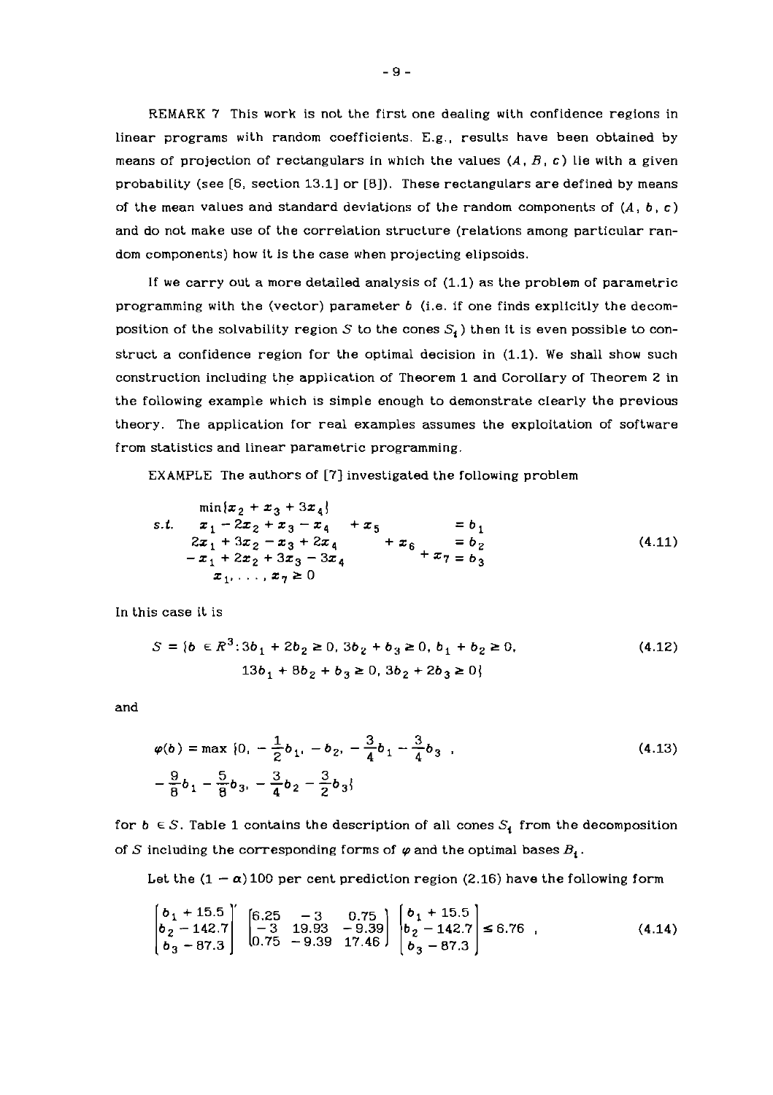REMARK 7 This work is not the first one dealing with confidence regions in linear programs with random coefficients. E.g., results have been obtained by means of projection of rectangulars in which the values  $(A, B, c)$  lie with a given probability (see  $[6,$  section 13.1] or  $[8]$ ). These rectangulars are defined by means of the mean values and standard deviations of the random components of  $(A, b, c)$ and do not make use of the correlation structure (relations among particular random components) how it is the case when projecting elipsoids.

If we carry out a more detailed analysis of (1.1) as the problem of parametric programming with the (vector) parameter b (i.e. if one finds explicitly the decomposition of the solvability region S to the cones  $S_i$ ) then it is even possible to construct a confidence region for the optimal decision in (1.1). We shall show such construction including the application of Theorem 1 and CorolIary of Theorem 2 in the following example which is simple enough to demonstrate dearly the previous theory. The application for real examples assumes the exploitation of software from statistics and linear parametric programming.

EXAMPLE The authors of [7] investigated the following problem

$$
\min\{x_2 + x_3 + 3x_4\}
$$
  
s.t.  $x_1 - 2x_2 + x_3 - x_4 + x_5 = b_1$   
 $2x_1 + 3x_2 - x_3 + 2x_4 + x_6 = b_2$   
 $-x_1 + 2x_2 + 3x_3 - 3x_4 + x_6 + x_7 = b_3$   
 $x_1, \ldots, x_7 \ge 0$  (4.11)

In this case it is

$$
S = \{b \in \mathbb{R}^3 : 3b_1 + 2b_2 \ge 0, 3b_2 + b_3 \ge 0, b_1 + b_2 \ge 0, (4.12)
$$
  

$$
13b_1 + 8b_2 + b_3 \ge 0, 3b_2 + 2b_3 \ge 0\}
$$

and

$$
\varphi(b) = \max \{0, -\frac{1}{2}b_1, -b_2, -\frac{3}{4}b_1 - \frac{3}{4}b_3\}
$$
\n
$$
-\frac{9}{8}b_1 - \frac{5}{8}b_3, -\frac{3}{4}b_2 - \frac{3}{2}b_3\}
$$
\n(4.13)

for  $b \in S$ . Table 1 contains the description of all cones  $S_i$  from the decomposition of S including the corresponding forms of  $\varphi$  and the optimal bases  $B_i$ .

Let the  $(1 - \alpha)$  100 per cent prediction region (2.16) have the following form

$$
\begin{bmatrix} b_1 + 15.5 \\ b_2 - 142.7 \\ b_3 - 87.3 \end{bmatrix} \begin{bmatrix} 6.25 & -3 & 0.75 \\ -3 & 19.93 & -9.39 \\ 0.75 & -9.39 & 17.46 \end{bmatrix} \begin{bmatrix} b_1 + 15.5 \\ b_2 - 142.7 \\ b_3 - 87.3 \end{bmatrix} \le 6.76 , \qquad (4.14)
$$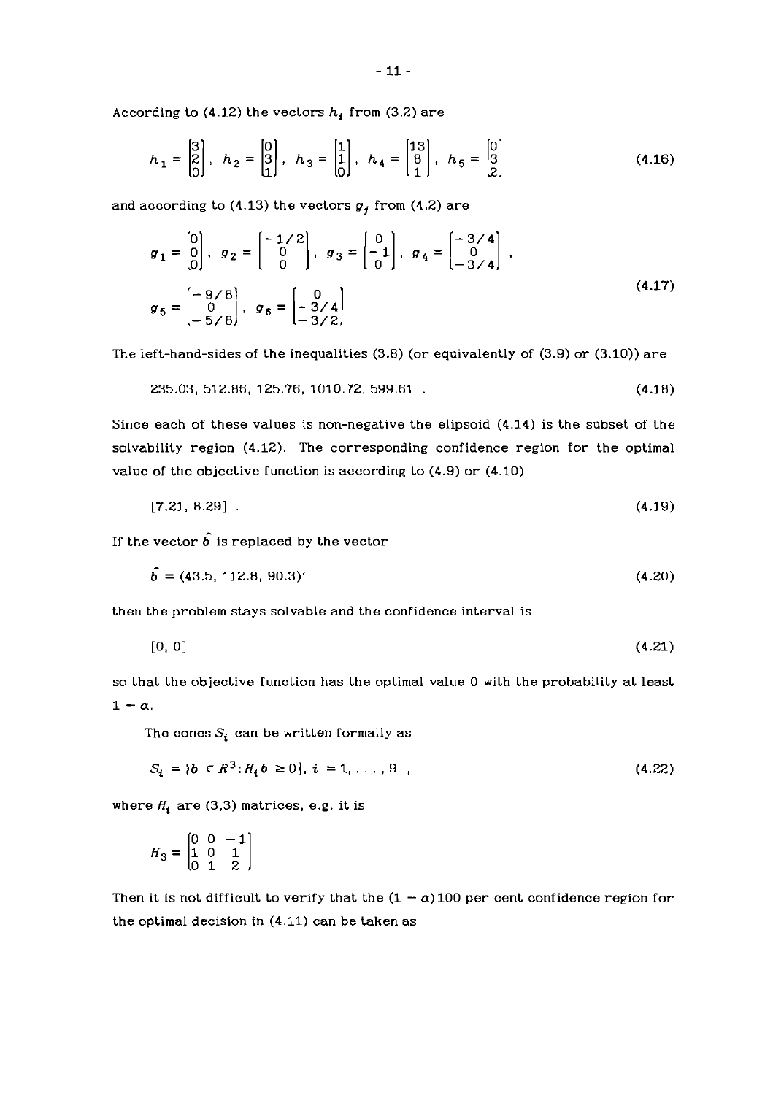According to  $(4.12)$  the vectors  $h_i$  from  $(3.2)$  are

$$
h_1 = \begin{bmatrix} 3 \\ 2 \\ 0 \end{bmatrix}, \quad h_2 = \begin{bmatrix} 0 \\ 3 \\ 1 \end{bmatrix}, \quad h_3 = \begin{bmatrix} 1 \\ 1 \\ 0 \end{bmatrix}, \quad h_4 = \begin{bmatrix} 13 \\ 8 \\ 1 \end{bmatrix}, \quad h_5 = \begin{bmatrix} 0 \\ 3 \\ 2 \end{bmatrix}
$$
(4.16)

*and according to* **(4.13)** *the vectors* **g,** *from* **(4.2)** *are* 

$$
g_1 = \begin{bmatrix} 0 \\ 0 \\ 0 \end{bmatrix}, \quad g_2 = \begin{bmatrix} -1/2 \\ 0 \\ 0 \end{bmatrix}, \quad g_3 = \begin{bmatrix} 0 \\ -1 \\ 0 \end{bmatrix}, \quad g_4 = \begin{bmatrix} -3/4 \\ 0 \\ -3/4 \end{bmatrix},
$$

$$
g_5 = \begin{bmatrix} -9/8 \\ 0 \\ -5/8 \end{bmatrix}, \quad g_6 = \begin{bmatrix} 0 \\ -3/4 \\ -3/2 \end{bmatrix}
$$
(4.17)

*The left-hand-sides of the inequalities* **(3.8)** *(or equivalently of* **(3.9)** *or* **(3.10))** *are* 

$$
235.03, 512.86, 125.76, 1010.72, 599.61 . \t(4.18)
$$

*Since each of these values is non-negative the elipsoid* **(4.14)** *is the subset of the solvability region* **(4.12).** *The corresponding confidence region for the optimal value of the objective function is according to* **(4.9)** *or* **(4.10)** 

$$
[7.21, 8.29] \t(4.19)
$$

If the vector  $\hat{b}$  is replaced by the vector

$$
\dot{\mathbf{b}} = (43.5, 112.8, 90.3)'
$$
\n
$$
(4.20)
$$

*then the problem stays solvable and the confidence interval is* 

$$
[0, 0] \tag{4.21}
$$

*so that the objective function has the optimal value* **0** *with the probability at least*   $1 - \alpha$ .

The cones  $S_i$  can be written formally as

$$
S_i = \{b \in \mathbb{R}^3 : H_i b \ge 0\}, i = 1, ..., 9
$$
\n(4.22)

where  $H_i$  are (3,3) matrices, e.g. it is

$$
H_3=\begin{bmatrix} 0 & 0 & -1 \\ 1 & 0 & 1 \\ 0 & 1 & 2 \end{bmatrix}
$$

Then it is not difficult to verify that the  $(1 - \alpha)100$  per cent confidence region for *the optimal decision in* **(4.11)** *can be taken as*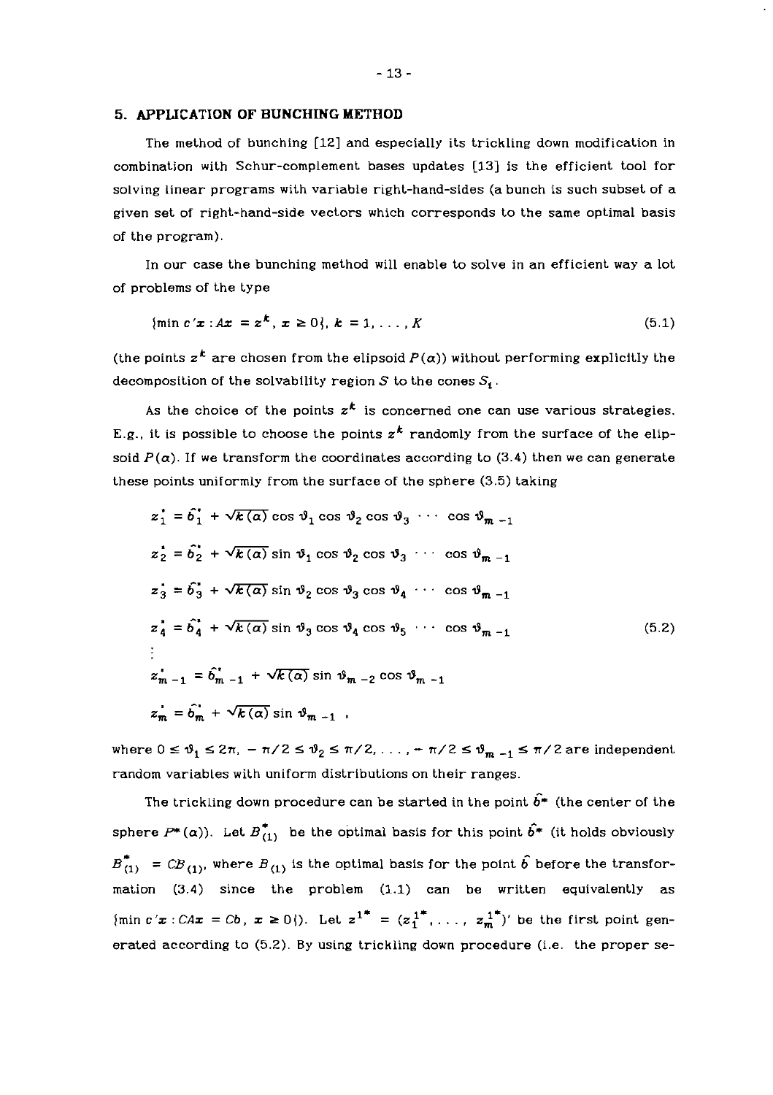### *5.* **APPLICATION OF BUNCHING METHOD**

The method of bunching [12] and especially its trickling down modification in combination with Schur-complement bases updates [13] is the efficient tool for solving linear programs with variable right-hand-sides (a bunch is such subset of a given set of right-hand-side vectors which corresponds to the same optimal basis of the program).

In our case the bunching method will enable to solve in an efficient way a lot of problems of the type

$$
\{\min c'x : Ax = z^k, x \ge 0\}, k = 1, ..., K
$$
\n(5.1)

(the points  $z^k$  are chosen from the elipsoid  $P(\alpha)$ ) without performing explicitly the decomposition of the solvability region  $S$  to the cones  $S_i$ .

As the choice of the points  $z^k$  is concerned one can use various strategies. E.g., it is possible to choose the points  $z^k$  randomly from the surface of the elipsoid  $P(\alpha)$ . If we transform the coordinates according to (3.4) then we can generate these points uniformly from the surface of the sphere (3.5) taking

$$
z_1^* = \hat{b}_1^* + \sqrt{k(\alpha)} \cos \vartheta_1 \cos \vartheta_2 \cos \vartheta_3 \cdots \cos \vartheta_{m-1}
$$
  
\n
$$
z_2^* = \hat{b}_2^* + \sqrt{k(\alpha)} \sin \vartheta_1 \cos \vartheta_2 \cos \vartheta_3 \cdots \cos \vartheta_{m-1}
$$
  
\n
$$
z_3^* = \hat{b}_3^* + \sqrt{k(\alpha)} \sin \vartheta_2 \cos \vartheta_3 \cos \vartheta_4 \cdots \cos \vartheta_{m-1}
$$
  
\n
$$
z_4^* = \hat{b}_4^* + \sqrt{k(\alpha)} \sin \vartheta_3 \cos \vartheta_4 \cos \vartheta_5 \cdots \cos \vartheta_{m-1}
$$
  
\n
$$
\vdots
$$
  
\n
$$
z_{m-1}^* = \hat{b}_{m-1}^* + \sqrt{k(\alpha)} \sin \vartheta_{m-2} \cos \vartheta_{m-1}
$$
  
\n
$$
z_m^* = \hat{b}_m^* + \sqrt{k(\alpha)} \sin \vartheta_{m-1}
$$
 (5.2)

where  $0 \le \vartheta_1 \le 2\pi$ ,  $-\pi/2 \le \vartheta_2 \le \pi/2$ , ...,  $-\pi/2 \le \vartheta_{m-1} \le \pi/2$  are independent random variables with uniform distributions on their ranges.

The trickling down procedure can be started in the point  $\hat{b}^*$  (the center of the sphere  $P^*(\alpha)$ . Let  $B^*_{(1)}$  be the optimal basis for this point  $\hat{b}^*$  (it holds obviously  $B_{(1)}^*$  = CB<sub>(1)</sub>, where B<sub>(1)</sub> is the optimal basis for the point  $\hat{b}$  before the transformation (3.4) since the problem (1.1) can be written equivalently as  ${\min c: x : \mathbb{C}Ax = \mathbb{C}b, x \ge 0}$ . Let  $z^{1^*} = (z_1^{1^*}, \ldots, z_m^{1^*})'$  be the first point generated according to (5.2). By using trickling down procedure (i.e. the proper se-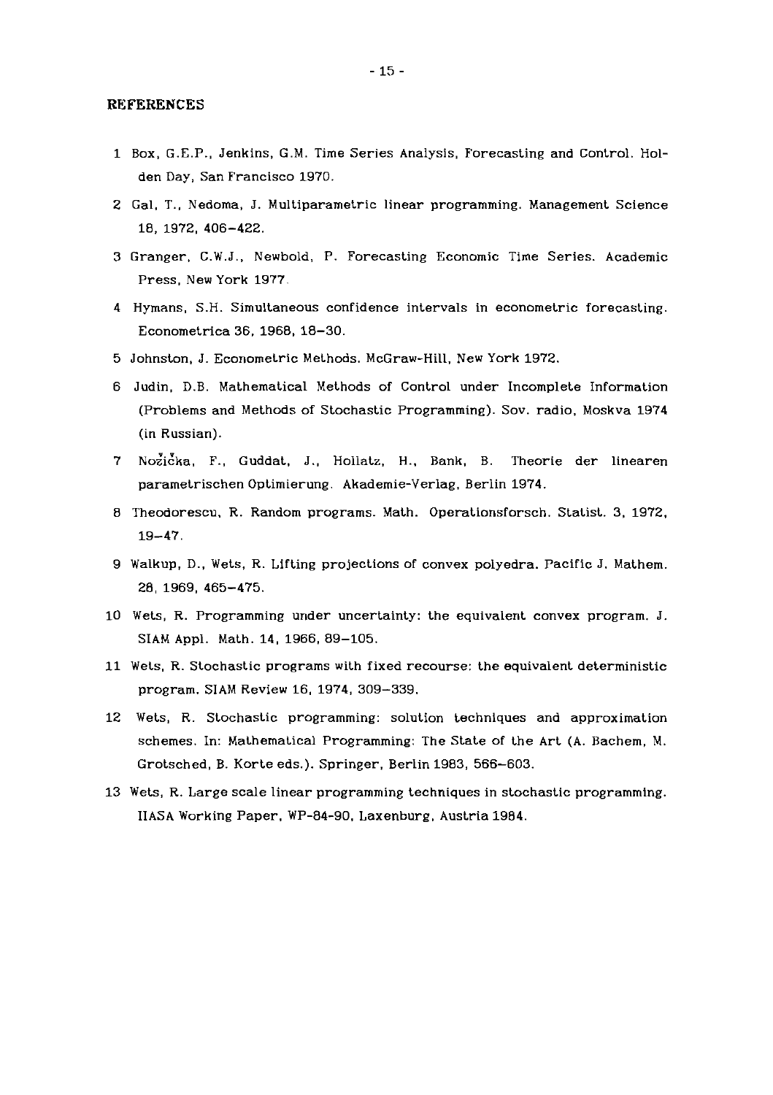#### **REFERENCES**

- 1 Box, G.E.P., Jenkins, G.M. Time Series Analysis, Forecasting and Control. Holden Day, San Francisco 1970.
- 2 Gal. T., Nedoma, J. Multiparametric linear programming. Management Science 18, 1972, 406-422.
- 3 Granger, C.W.J., Newbold, P. Forecasting Economic Time Series. Academic Press, New York 1977.
- 4 Hymans, S.H. Simultaneous confidence intervals in econometric forecasting. Econometrica 36. 1968. 18-30.
- 5 Johnston, J. Econometric Methods. McGraw-Hill. New York 1972.
- 6 Judin. D.B. Mathematical Methods of Control under Incomplete Information (Problems and Methods of Stochastic Programming). Sov. radio. Moskva 1974 (in Russian).
- 7 Nozicka, F., Guddat, J., Hollatz, H., Bank, B. Theorie der linearen parametrischen Optimierung. Akademie-Verlag. Berlin 1974.
- 8 Theodorescu. R. Random programs. Math. Operationsforsch. Statist. 3. 1972. 19-47.
- 9 Walkup, D., Wets, R. Lifting projections of convex polyedra. Pacific J. Mathem. 28, 1969, 465-475.
- 10 Wets, R. Programming under uncertainty: the equivalent convex program. J. SIAM Appl. Math. 14, 1966, 89-105.
- 11 Wets, R. Stochastic programs with fixed recourse: the equivalent deterministic program. SIAM Review 16, 1974, 309-339.
- 12 Wets, R. Stochastic programming: solution techniques and approximation schemes. In: Mathematical Programming: The State of the Art (A. Bachem, M. Grotsched, B. Korte eds.). Springer, Berlin 1983, 566-603.
- 13 Wets, R. Large scale linear programming techniques in stochastic programming. IIASA Working Paper. WP-84-90. Laxenburg, Austria 1984.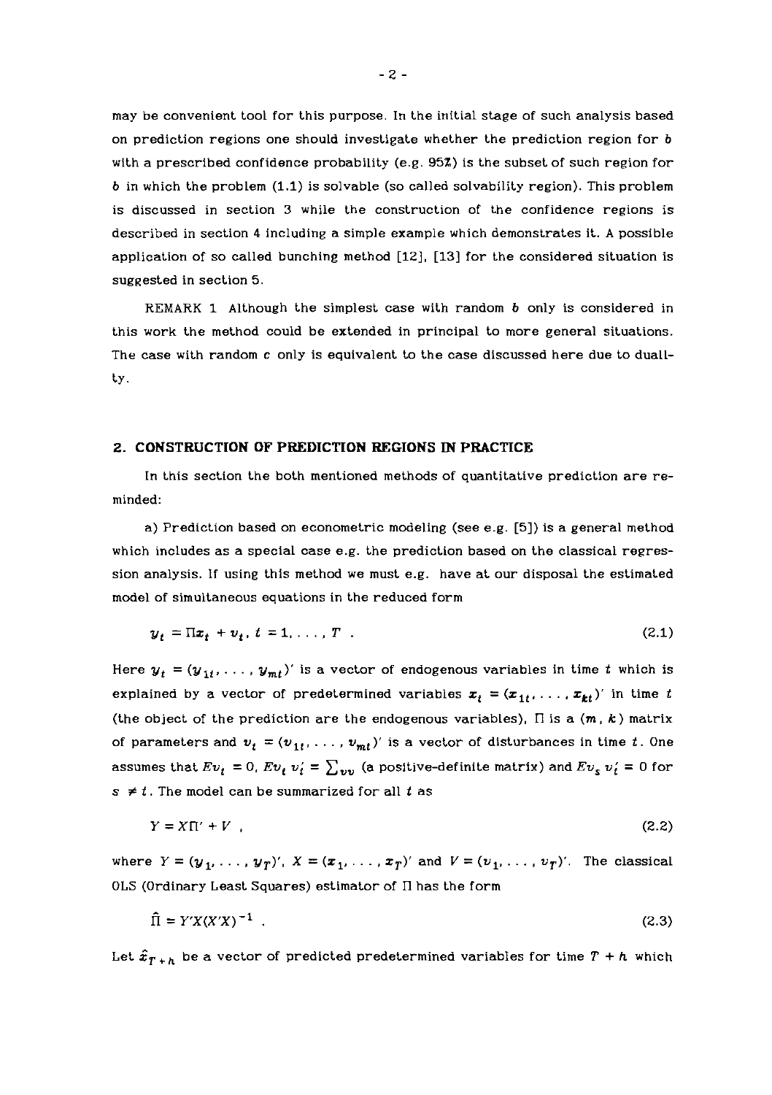may be convenient tool for this purpose. In the initial stage of such analysis based on prediction regions one should investigate whether the prediction region for b with a prescribed confidence probability (e.g. 95%) is the subset of such region for **6** in which the problem (1.1) is solvable (so called solvability region). This problem is discussed in section 3 while the construction of the confidence regions is described in section 4 including a simple example which demonstrates it. A possible application of so called bunching method [12], [13] for the considered situation is suggested in section 5.

REMARK 1 Although the simplest case with random **6** only is considered in this work the method could be extended in principal to more general situations. The case with random c only is equivalent to the case discussed here due to duallty.

#### **2. CONSTRUCTION OF PREDICTION REGIONS IN PRACTICE**

In this section the both mentioned methods of quantitative prediction are reminded:

a) Prediction based on econometric modeling (see e.g. [5]) is a general method which includes as a special case e.g. the prediction based on the classical regression analysis. If using thls method we must e.g. have at our disposal the estimated model of simultaneous equations in the reduced form

$$
y_t = \Pi x_t + v_t, t = 1, \dots, T
$$
 (2.1)

Here  $y_t = (y_{1t}, \ldots, y_{mt})'$  is a vector of endogenous variables in time *t* which is explained by a vector of predetermined variables  $x_t = (x_{1t}, \ldots, x_{kt})'$  in time t (the object of the prediction are the endogenous variables),  $\Pi$  is a  $(m, k)$  matrix of parameters and  $v_t = (v_{1t}, \ldots, v_{mt})'$  is a vector of disturbances in time t. One assumes that  $Ev_t = 0$ ,  $Ev_t v_t' = \sum_{vv}$  (a positive-definite matrix) and  $Ev_s v_t' = 0$  for  $s \neq t$ . The model can be summarized for all  $t$  as

$$
Y = X\Pi' + V \tag{2.2}
$$

where  $Y = (y_1, \ldots, y_T)'$ ,  $X = (\mathbf{x}_1, \ldots, \mathbf{x}_T)'$  and  $V = (v_1, \ldots, v_T)'$ . The classical OLS (Ordinary Least Squares) estimator of Il has the form

$$
\widehat{\Pi} = Y'X(X'X)^{-1} \tag{2.3}
$$

Let  $\hat{x}_{T+h}$  be a vector of predicted predetermined variables for time  $T+h$  which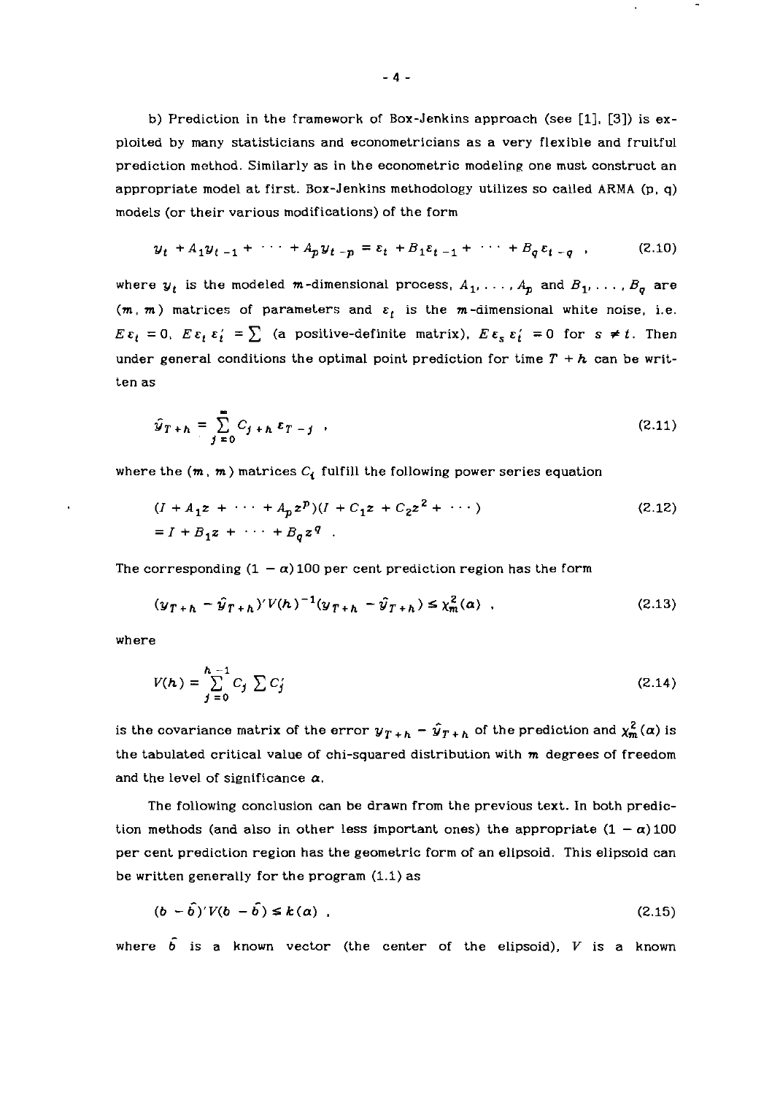b) Prediction in the framework of Box-Jenkins approach (see [I], **131)** is exploited by many statisticians and econometricians as a very flexible and fruitful prediction mothod. Similarly as in the econometric modeling one must construct an appropriate model at first. Box-Jenkins methodology utilizes so called ARMA (p, q) models (or their various modifications) of the form

$$
y_t + A_1 y_{t-1} + \cdots + A_p y_{t-p} = \varepsilon_t + B_1 \varepsilon_{t-1} + \cdots + B_q \varepsilon_{t-q} \quad , \tag{2.10}
$$

where  $y_t$  is the modeled m-dimensional process,  $A_1, \ldots, A_p$  and  $B_1, \ldots, B_q$  are  $(m, m)$  matrices of parameters and  $\varepsilon_t$  is the m-dimensional white noise, i.e.  $E \varepsilon_t = 0$ ,  $E \varepsilon_t \varepsilon_t' = \sum$  (a positive-definite matrix),  $E \varepsilon_s \varepsilon_t' = 0$  for  $s \neq t$ . Then under general conditions the optimal point prediction for time  $T + h$  can be written as

$$
\hat{y}_{T+h} = \sum_{j=0}^{\infty} C_{j+h} \epsilon_{T-j} \quad . \tag{2.11}
$$

where the  $(m, m)$  matrices  $C_i$  fulfill the following power series equation

$$
(I + A_1 z + \cdots + A_p z^p)(I + C_1 z + C_2 z^2 + \cdots)
$$
  
=  $I + B_1 z + \cdots + B_q z^q$ . (2.12)

The corresponding  $(1 - \alpha)$  100 per cent prediction region has the form

$$
(\mathcal{Y}_{T+h} - \hat{\mathcal{Y}}_{T+h})'V(h)^{-1}(\mathcal{Y}_{T+h} - \hat{\mathcal{Y}}_{T+h}) \leq \chi_m^2(\alpha) \quad . \tag{2.13}
$$

where

$$
V(h) = \sum_{j=0}^{h-1} C_j \sum C_j
$$
 (2.14)

is the covariance matrix of the error  $y_{T+h} - \hat{y}_{T+h}$  of the prediction and  $\chi^2_m(\alpha)$  is the tabulated critical value of chi-squared distribution with  $m$  degrees of freedom and the level of significance  $\alpha$ .

The following conclusion can be drawn from the previous text. In both prediction methods (and also in other less important ones) the appropriate  $(1 - \alpha)100$ per cent prediction region has the geometric form of an elipsoid. This elipsoid can be written generally for the program (1.1) as

$$
(b - \hat{b})'V(b - \hat{b}) \le k(\alpha) \tag{2.15}
$$

where  $\hat{b}$  is a known vector (the center of the elipsoid), V is a known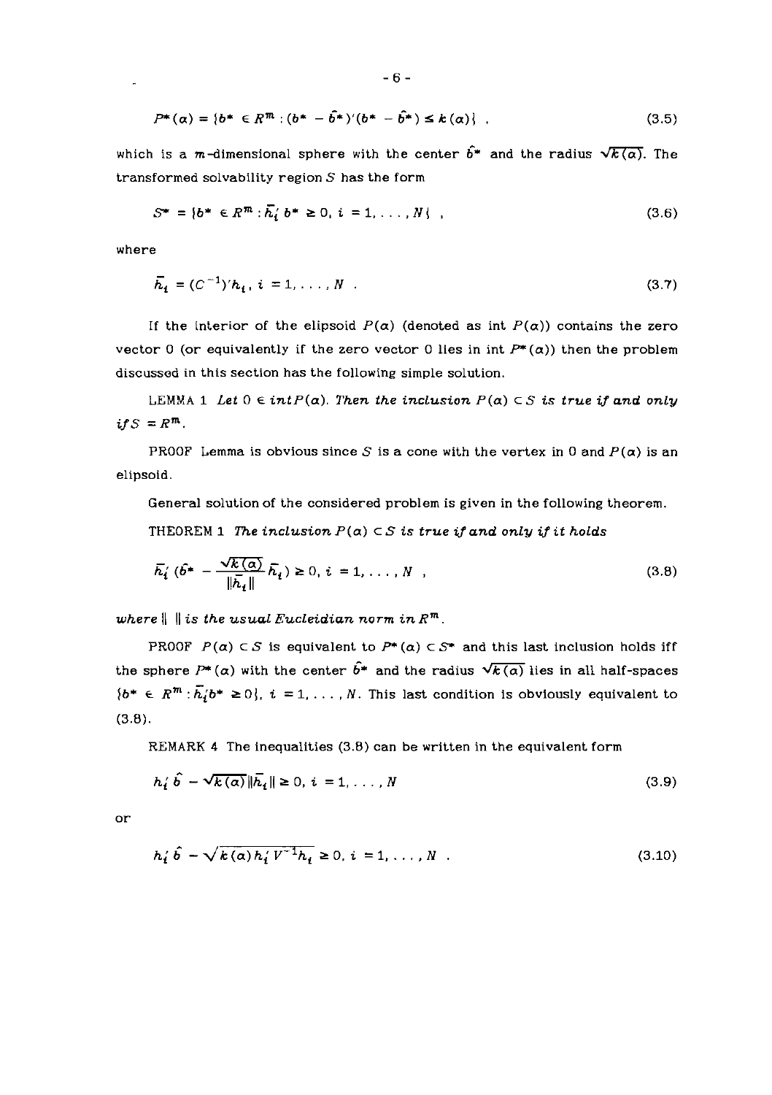$$
P^*(\alpha) = \{b^* \in R^m : (b^* - \hat{b}^*)'(b^* - \hat{b}^*) \le k(\alpha)\},
$$
\n(3.5)

which is a m-dimensional sphere with the center  $\hat{b}^*$  and the radius  $\sqrt{k(\alpha)}$ . The transformed solvability region *S* has the form

$$
S^* = \{b^* \in R^m : \bar{h}_i \; b^* \geq 0, \; i = 1, \ldots, N\} \tag{3.6}
$$

where

 $\mathbb{R}^2$ 

$$
\overline{h}_t = (C^{-1})' h_t, \, t = 1, \dots, N \tag{3.7}
$$

If the interior of the elipsoid  $P(\alpha)$  (denoted as int  $P(\alpha)$ ) contains the zero vector 0 (or equivalently if the zero vector 0 lies in int  $P^*(\alpha)$ ) then the problem discussed in this section has the following simple solution.

LEMMA 1 *Let*  $0 \in intP(\alpha)$ . *Then the inclusion*  $P(\alpha) \subset S$  *is true if and only*  $if S = R^m$ .

PROOF Lemma is obvious since *S* is a cone with the vertex in 0 and  $P(\alpha)$  is an elipsoid.

General solution of the considered problem is given in the following theorem.

THEOREM 1 *The inclusion*  $P(a) \subset S$  *is true if and only if it holds* 

$$
\overline{h}'_i \; (\widehat{b}^* - \frac{\sqrt{k(\alpha)}}{\|\overline{h}_i\|} \overline{h}_i) \ge 0, \, i = 1, \dots, N \quad , \tag{3.8}
$$

*where*  $\|\|$  *is the usual Eucleidian norm in*  $R^m$ *.* 

PROOF  $P(\alpha) \subset S$  is equivalent to  $P^*(\alpha) \subset S^*$  and this last inclusion holds iff the sphere  $P^*(\alpha)$  with the center  $\hat{b}^*$  and the radius  $\sqrt{k(\alpha)}$  lies in all half-spaces  $\{b^* \in R^m : \overline{h_i} b^* \geq 0\}$ ,  $i = 1, ..., N$ . This last condition is obviously equivalent to (3.8).

REMARK 4 The inequalities (3.8) can be written in the equivalent form

$$
h'_i \hat{b} - \sqrt{k(a)} \| \bar{h}_i \| \ge 0, \, i = 1, \dots, N \tag{3.9}
$$

or

$$
h'_{i} \hat{b} - \sqrt{k(\alpha)h'_{i}V^{-1}h_{i}} \ge 0, i = 1,..., N
$$
 (3.10)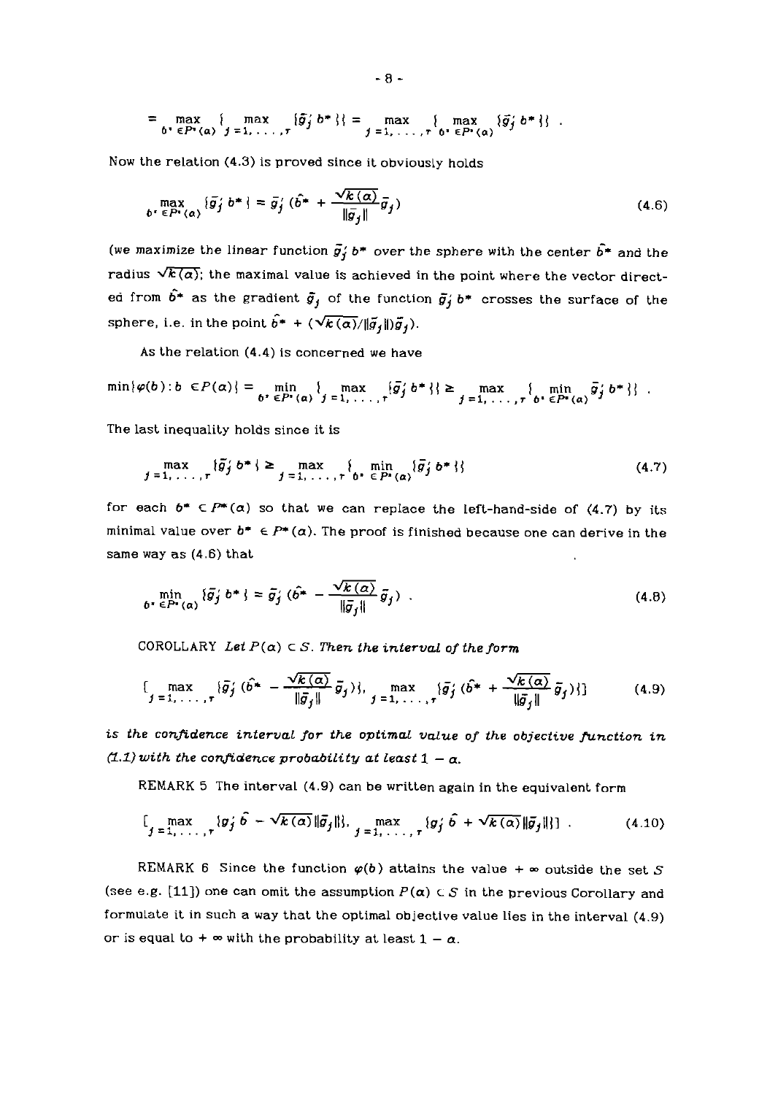$$
= \max_{b^* \in P^*(a)} \{ \max_{j=1,\dots,r} {\{\tilde{g}_j \; b^* \}} = \max_{j=1,\dots,r} {\max_{b^* \in P^*(a)} {\{\tilde{g}_j \; b^* \}}}.
$$

Now the relation (4.3) is proved since it obviously holds  
\n
$$
\max_{\mathbf{b'} \in P^*(\alpha)} {\{\tilde{g}_j \; \mathbf{b^*}\}} = \bar{g}_j' \; (\hat{\mathbf{b^*}} + \frac{\sqrt{k(\alpha)}}{\|\bar{g}_j\|} \bar{g}_j)
$$
\n(4.6)

(we maximize the linear function  $\vec{g}_j' b^*$  over the sphere with the center  $\vec{b^*}$  and the radius  $\sqrt{k(\alpha)}$ ; the maximal value is achieved in the point where the vector directed from  $\hat{b}^*$  as the gradient  $\bar{g}_j$  of the function  $\bar{g}_j' b^*$  crosses the surface of the sphere, i.e. in the point  $\hat{b}^* + (\sqrt{k(\alpha)}/\|\tilde{g}_j\|)\tilde{g}_j)$ .

As the relation (4.4) is concerned we have

$$
\min\{\varphi(b):b\in P(\alpha)\}=\min_{b^*\in P^*(a)}\{\max_{j=1,\ldots,r}\{\bar{g}_j's^*\}\}\geq \max_{j=1,\ldots,r}\{\min_{b^*\in P^*(a)}\bar{g}_j's^*\}.
$$

The last inequality holds since it is

$$
\max_{j=1,\ldots,r} \{\tilde{g}_j' b^* \} \geq \max_{j=1,\ldots,r} \{ \min_{b^* \in P^*(a)} \{\tilde{g}_j' b^* \} \}
$$
(4.7)

for each  $b^* \in P^*(a)$  so that we can replace the left-hand-side of (4.7) by its minimal value over  $b^* \in P^*(a)$ . The proof is finished because one can derive in the same way as (4.6) that

way as (4.6) that  
\n
$$
\min_{\boldsymbol{\delta}^* \in P^*(\boldsymbol{\alpha})} \{\bar{g}_j' \boldsymbol{b}^* \} = \bar{g}_j' \left( \hat{b}^* - \frac{\sqrt{k(\boldsymbol{\alpha})}}{\|\bar{g}_j\|} \bar{g}_j \right) .
$$
\n(4.8)

COROLLARY Let  $P(a) \subset S$ . Then the interval of the form

$$
\left\{\max_{j=1,\ldots,r}\{\bar{g}_j'(\hat{b}^*-\frac{\sqrt{k(\alpha)}}{\|\bar{g}_j\|}\bar{g}_j)\},\max_{j=1,\ldots,r}\{\bar{g}_j'(\hat{b}^*+\frac{\sqrt{k(\alpha)}}{\|\bar{g}_j\|}\bar{g}_j)\}\right\} \qquad (4.9)
$$

*is the confidence interval for the optimal value of the objective function in*   $(1.1)$  with the confidence probability at least  $1 - \alpha$ .

REMARK 5 The interval (4.9) can be written again in the equivalent form

$$
\left[\max_{j=1,\ldots,r} \{\mathbf{g}_j'\,\hat{\mathbf{b}} - \sqrt{k(\alpha)}\|\bar{\mathbf{g}}_j\|\right], \max_{j=1,\ldots,r} \{\mathbf{g}_j'\,\hat{\mathbf{b}} + \sqrt{k(\alpha)}\|\bar{\mathbf{g}}_j\|\}\right].
$$
 (4.10)

REMARK 6 Since the function  $\varphi(b)$  attains the value +  $\infty$  outside the set S (see e.g. [11]) one can omit the assumption  $P(\alpha) \subset S$  in the previous Corollary and formulate it in such a way that the optimal objective value lies in the interval (4.9) or is equal to  $+ \infty$  with the probability at least  $1 - \alpha$ .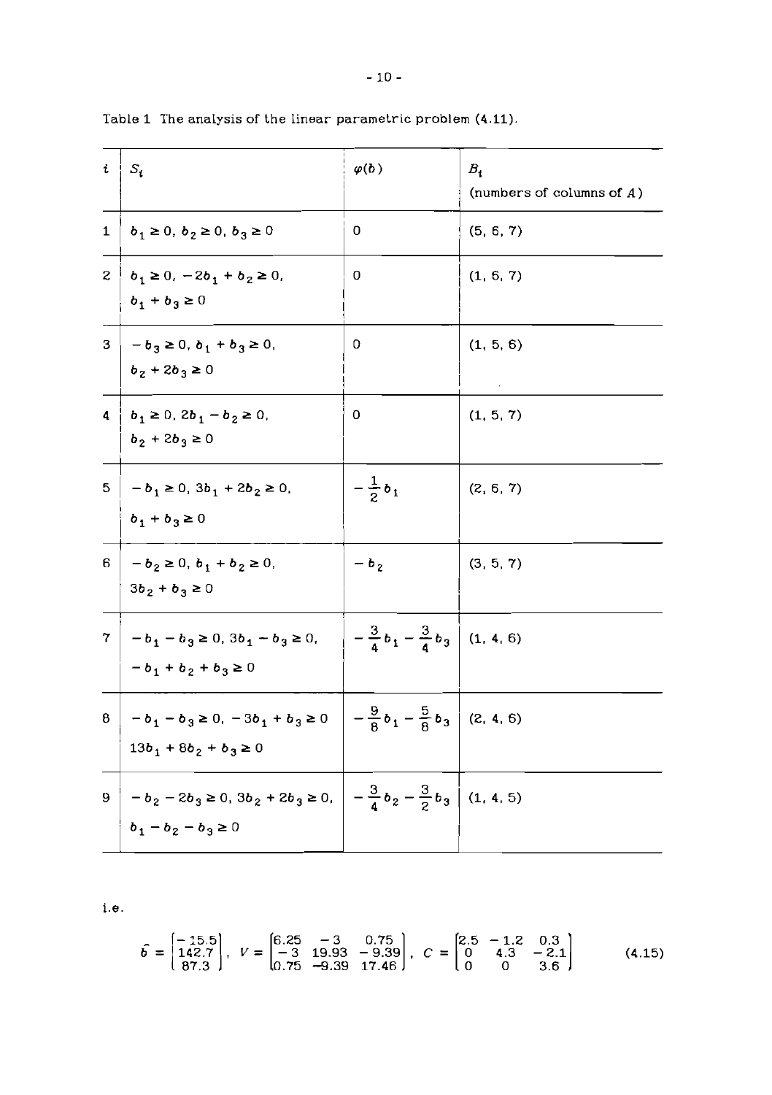| t.           | $S_i$                                                                                                                              | $\varphi(b)$                               | $B_i$<br>(numbers of columns of $A$ ) |
|--------------|------------------------------------------------------------------------------------------------------------------------------------|--------------------------------------------|---------------------------------------|
| $\mathbf{1}$ | $b_1 \ge 0, b_2 \ge 0, b_3 \ge 0$                                                                                                  | 0                                          | (5, 6, 7)                             |
|              | $2 \mid b_1 \geq 0, -2b_1 + b_2 \geq 0,$<br>$b_1 + b_3 \ge 0$                                                                      | 0                                          | (1, 6, 7)                             |
|              | $3 - b_3 \ge 0, b_1 + b_3 \ge 0,$<br>$b_2 + 2b_3 \ge 0$                                                                            | 0                                          | (1, 5, 6)                             |
| 4            | $b_1 \ge 0$ , $2b_1 - b_2 \ge 0$ ,<br>$b_2 + 2b_3 \ge 0$                                                                           | 0                                          | (1, 5, 7)                             |
| 5.           | $-b_1 \ge 0$ , $3b_1 + 2b_2 \ge 0$ ,<br>$b_1 + b_3 \ge 0$                                                                          | $-\frac{1}{2}b_1$                          | (2, 6, 7)                             |
|              | $6   -b_2 \ge 0, b_1 + b_2 \ge 0,$<br>$3b_2 + b_3 \ge 0$                                                                           | $- b_2$                                    | (3, 5, 7)                             |
| 7.           | $-b_1 - b_3 \ge 0$ , $3b_1 - b_3 \ge 0$ , $-\frac{3}{4}b_1 - \frac{3}{4}b_3$ (1, 4, 6)<br>$-b_1 + b_2 + b_3 \ge 0$                 |                                            |                                       |
|              | $8 \Big  -b_1 - b_3 \ge 0, -3b_1 + b_3 \ge 0 \Big  -\frac{9}{8}b_1 - \frac{5}{8}b_3 \Big $ (2, 4, 6)<br>$13b_1 + 8b_2 + b_3 \ge 0$ |                                            |                                       |
| 9            | $-b_2 - 2b_3 \ge 0$ , $3b_2 + 2b_3 \ge 0$ ,<br>$b_1 - b_2 - b_3 \ge 0$                                                             | $-\frac{3}{4}b_2-\frac{3}{2}b_3$ (1, 4, 5) |                                       |

Table 1 The analysis of the linear parametric problem (4.11)

 $i.e.$ 

$$
\hat{b} = \begin{bmatrix} -15.5 \\ 142.7 \\ 87.3 \end{bmatrix}, V = \begin{bmatrix} 6.25 & -3 & 0.75 \\ -3 & 19.93 & -9.39 \\ 0.75 & -9.39 & 17.46 \end{bmatrix}, C = \begin{bmatrix} 2.5 & -1.2 & 0.3 \\ 0 & 4.3 & -2.1 \\ 0 & 0 & 3.6 \end{bmatrix}
$$
(4.15)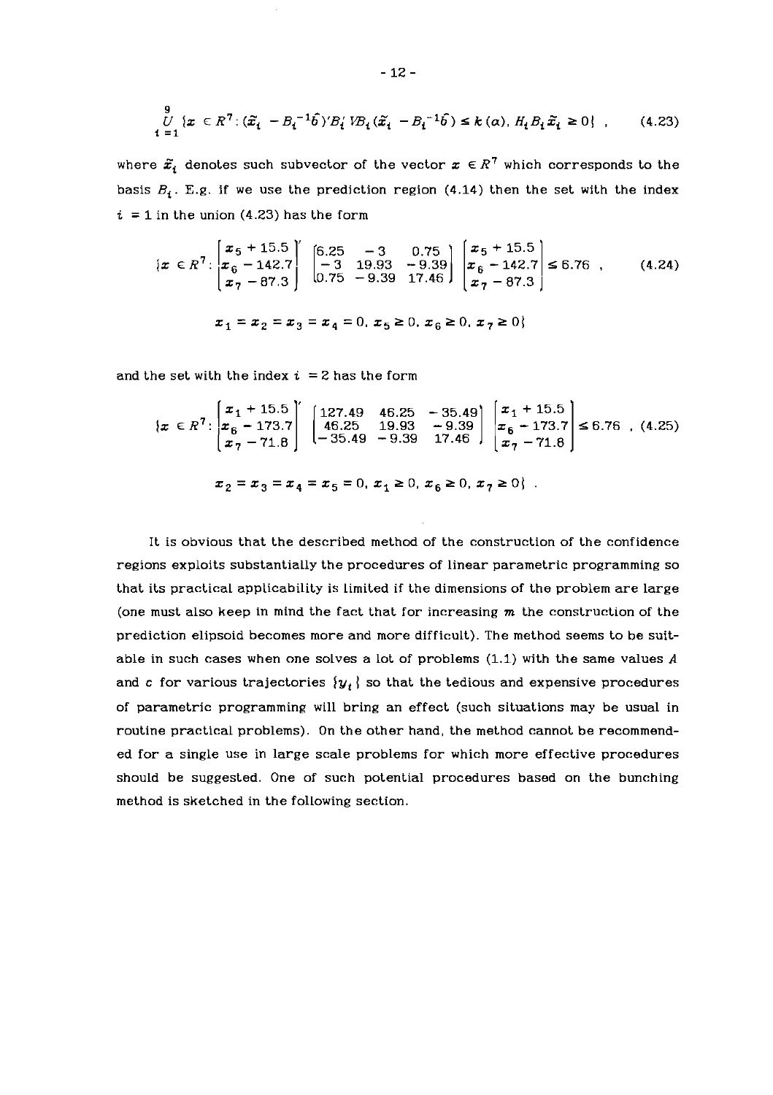$$
\bigcup_{i=1}^{9} \{x \in R^{7} : (\tilde{x}_{i} - B_{i}^{-1}\hat{b})'B'_{i}VB_{i}(\tilde{x}_{i} - B_{i}^{-1}\hat{b}) \leq k(\alpha), H_{i}B_{i}\tilde{x}_{i} \geq 0\},
$$
 (4.23)

where  $\tilde{x}_i$  denotes such subvector of the vector  $x \in R^7$  which corresponds to the basis  $B_i$ . E.g. if we use the prediction region (4.14) then the set with the index  $i = 1$  in the union (4.23) has the form

$$
\begin{aligned}\n\{\boldsymbol{x} \in \mathbb{R}^7 : \begin{bmatrix} x_5 + 15.5 \\ x_6 - 142.7 \\ x_7 - 87.3 \end{bmatrix} \begin{bmatrix} 6.25 & -3 & 0.75 \\ -3 & 19.93 & -9.39 \\ 0.75 & -9.39 & 17.46 \end{bmatrix} \begin{bmatrix} x_5 + 15.5 \\ x_6 - 142.7 \\ x_7 - 87.3 \end{bmatrix} \le 6.76 \quad (4.24) \\
\end{aligned}
$$
\n
$$
\begin{aligned}\nx_1 = x_2 = x_3 = x_4 = 0, \ x_5 \ge 0, \ x_6 \ge 0, \ x_7 \ge 0\n\end{aligned}
$$

and the set with the index  $i = 2$  has the form

$$
\{x \in \mathbb{R}^7 : \begin{bmatrix} x_1 + 15.5 \\ x_6 - 173.7 \\ x_7 - 71.8 \end{bmatrix} \begin{bmatrix} 127.49 & 46.25 & -35.49 \\ 46.25 & 19.93 & -9.39 \\ -35.49 & -9.39 & 17.46 \end{bmatrix} \begin{bmatrix} x_1 + 15.5 \\ x_6 - 173.7 \\ x_7 - 71.8 \end{bmatrix} \le 6.76 , (4.25)
$$
  

$$
x_2 = x_3 = x_4 = x_5 = 0, x_1 \ge 0, x_6 \ge 0, x_7 \ge 0 \}
$$

It is obvious that the described method of the construction of the confidence regions exploits substantially the procedures of linear parametric programming so that its practical applicability is Limited if the dimensions of the problem are large (one must also keep in mind the fact that for increasing  $m$  the construction of the prediction elipsoid becomes more and more difficult). The method seems to be suitable in such cases when one solves a lot of problems  $(1.1)$  with the same values  $A$ and c for various trajectories  $\{y_t\}$  so that the tedious and expensive procedures of parametric programming will bring an effect (such situations may be usual in routine practical problems). On the other hand, the method cannot be recommended for a single use in large scale problems for which more effective procedures should be suggested. One of such potential procedures based on the bunching method is sketched in the following section.